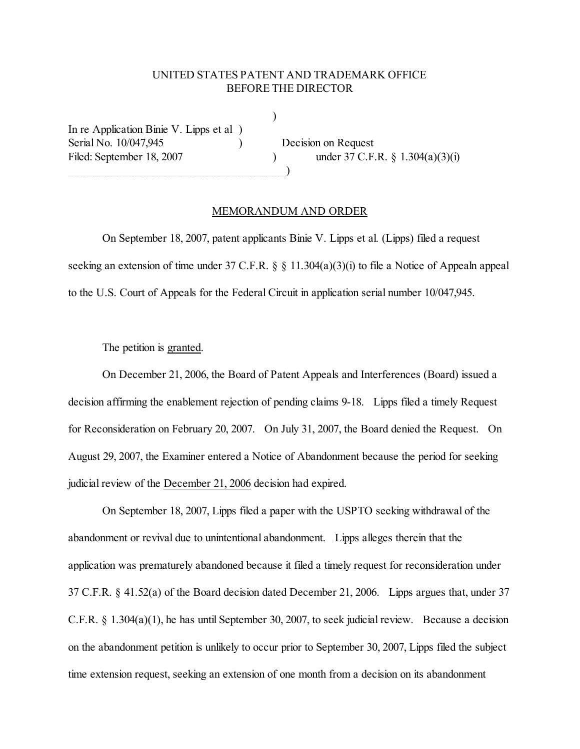## UNITED STATES PATENT AND TRADEMARK OFFICE BEFORE THE DIRECTOR

 $\lambda$ 

In re Application Binie V. Lipps et al ) Serial No. 10/047,945 ) Decision on Request

 $\qquad \qquad \qquad \qquad \qquad$ 

Filed: September 18, 2007 ) under 37 C.F.R. § 1.304(a)(3)(i)

## MEMORANDUM AND ORDER

On September 18, 2007, patent applicants Binie V. Lipps et al. (Lipps) filed a request seeking an extension of time under 37 C.F.R. § § 11.304(a)(3)(i) to file a Notice of Appealn appeal to the U.S. Court of Appeals for the Federal Circuit in application serial number 10/047,945.

The petition is granted.

On December 21, 2006, the Board of Patent Appeals and Interferences (Board) issued a decision affirming the enablement rejection of pending claims 9-18. Lipps filed a timely Request for Reconsideration on February 20, 2007. On July 31, 2007, the Board denied the Request. On August 29, 2007, the Examiner entered a Notice of Abandonment because the period for seeking judicial review of the December 21, 2006 decision had expired.

On September 18, 2007, Lipps filed a paper with the USPTO seeking withdrawal of the abandonment or revival due to unintentional abandonment. Lipps alleges therein that the application was prematurely abandoned because it filed a timely request for reconsideration under 37 C.F.R. § 41.52(a) of the Board decision dated December 21, 2006. Lipps argues that, under 37 C.F.R. § 1.304(a)(1), he has until September 30, 2007, to seek judicial review. Because a decision on the abandonment petition is unlikely to occur prior to September 30, 2007, Lipps filed the subject time extension request, seeking an extension of one month from a decision on its abandonment